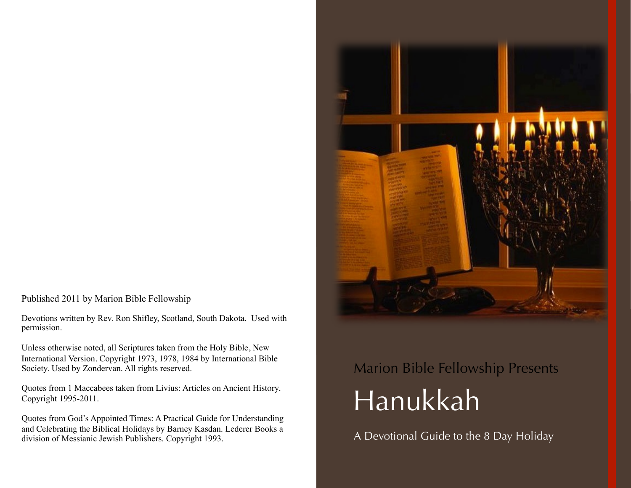Published 2011 by Marion Bible Fellowship

Devotions written by Rev. Ron Shifley, Scotland, South Dakota. Used with permission.

Unless otherwise noted, all Scriptures taken from the Holy Bible, New International Version. Copyright 1973, 1978, 1984 by International Bible Society. Used by Zondervan. All rights reserved.

Quotes from 1 Maccabees taken from Livius: Articles on Ancient History. Copyright 1995-2011.

Quotes from God's Appointed Times: A Practical Guide for Understanding and Celebrating the Biblical Holidays by Barney Kasdan. Lederer Books a division of Messianic Jewish Publishers. Copyright 1993.



# Marion Bible Fellowship Presents Hanukkah

A Devotional Guide to the 8 Day Holiday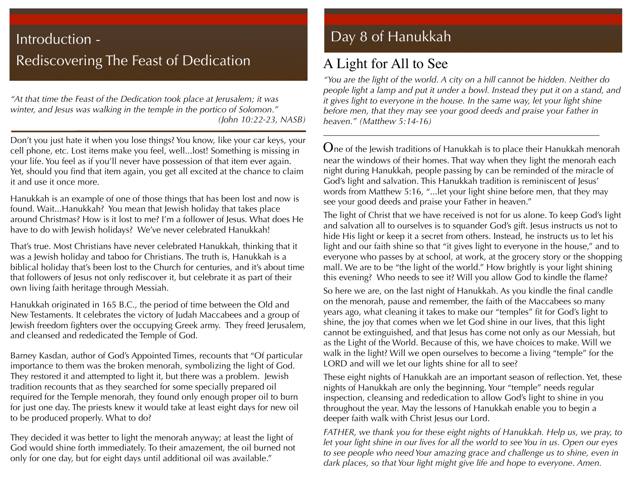## Introduction - **Day 8 of Hanukkah** Rediscovering The Feast of Dedication

*"At that time the Feast of the Dedication took place at Jerusalem; it was winter, and Jesus was walking in the temple in the portico of Solomon." (John 10:22-23, NASB)* 

Don't you just hate it when you lose things? You know, like your car keys, your cell phone, etc. Lost items make you feel, well...lost! Something is missing in your life. You feel as if you'll never have possession of that item ever again. Yet, should you find that item again, you get all excited at the chance to claim it and use it once more.

Hanukkah is an example of one of those things that has been lost and now is found. Wait...Hanukkah? You mean that Jewish holiday that takes place around Christmas? How is it lost to me? I'm a follower of Jesus. What does He have to do with Jewish holidays? We've never celebrated Hanukkah!

That's true. Most Christians have never celebrated Hanukkah, thinking that it was a Jewish holiday and taboo for Christians. The truth is, Hanukkah is a biblical holiday that's been lost to the Church for centuries, and it's about time that followers of Jesus not only rediscover it, but celebrate it as part of their own living faith heritage through Messiah.

Hanukkah originated in 165 B.C., the period of time between the Old and New Testaments. It celebrates the victory of Judah Maccabees and a group of Jewish freedom fighters over the occupying Greek army. They freed Jerusalem, and cleansed and rededicated the Temple of God.

Barney Kasdan, author of God's Appointed Times, recounts that "Of particular importance to them was the broken menorah, symbolizing the light of God. They restored it and attempted to light it, but there was a problem. Jewish tradition recounts that as they searched for some specially prepared oil required for the Temple menorah, they found only enough proper oil to burn for just one day. The priests knew it would take at least eight days for new oil to be produced properly. What to do?

They decided it was better to light the menorah anyway; at least the light of God would shine forth immediately. To their amazement, the oil burned not only for one day, but for eight days until additional oil was available."

### A Light for All to See

*"You are the light of the world. A city on a hill cannot be hidden. Neither do people light a lamp and put it under a bowl. Instead they put it on a stand, and it gives light to everyone in the house. In the same way, let your light shine before men, that they may see your good deeds and praise your Father in heaven." (Matthew 5:14-16)* 

\_\_\_\_\_\_\_\_\_\_\_\_\_\_\_\_\_\_\_\_\_\_\_\_\_\_\_\_\_\_\_\_\_\_\_\_\_\_\_\_\_\_\_\_\_\_\_\_\_\_\_\_\_\_\_\_\_\_\_\_\_\_\_

One of the Jewish traditions of Hanukkah is to place their Hanukkah menorah near the windows of their homes. That way when they light the menorah each night during Hanukkah, people passing by can be reminded of the miracle of God's light and salvation. This Hanukkah tradition is reminiscent of Jesus' words from Matthew 5:16, "...let your light shine before men, that they may see your good deeds and praise your Father in heaven."

The light of Christ that we have received is not for us alone. To keep God's light and salvation all to ourselves is to squander God's gift. Jesus instructs us not to hide His light or keep it a secret from others. Instead, he instructs us to let his light and our faith shine so that "it gives light to everyone in the house," and to everyone who passes by at school, at work, at the grocery story or the shopping mall. We are to be "the light of the world." How brightly is your light shining this evening? Who needs to see it? Will you allow God to kindle the flame?

So here we are, on the last night of Hanukkah. As you kindle the final candle on the menorah, pause and remember, the faith of the Maccabees so many years ago, what cleaning it takes to make our "temples" fit for God's light to shine, the joy that comes when we let God shine in our lives, that this light cannot be extinguished, and that Jesus has come not only as our Messiah, but as the Light of the World. Because of this, we have choices to make. Will we walk in the light? Will we open ourselves to become a living "temple" for the LORD and will we let our lights shine for all to see?

These eight nights of Hanukkah are an important season of reflection. Yet, these nights of Hanukkah are only the beginning. Your "temple" needs regular inspection, cleansing and rededication to allow God's light to shine in you throughout the year. May the lessons of Hanukkah enable you to begin a deeper faith walk with Christ Jesus our Lord.

*FATHER, we thank you for these eight nights of Hanukkah. Help us, we pray, to let your light shine in our lives for all the world to see You in us. Open our eyes to see people who need Your amazing grace and challenge us to shine, even in dark places, so that Your light might give life and hope to everyone. Amen.*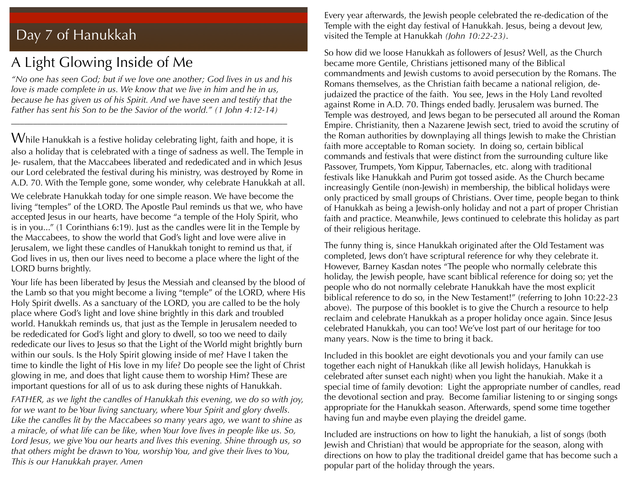### Day 7 of Hanukkah

### A Light Glowing Inside of Me

*"No one has seen God; but if we love one another; God lives in us and his love is made complete in us. We know that we live in him and he in us, because he has given us of his Spirit. And we have seen and testify that the Father has sent his Son to be the Savior of the world." (1 John 4:12-14)* 

\_\_\_\_\_\_\_\_\_\_\_\_\_\_\_\_\_\_\_\_\_\_\_\_\_\_\_\_\_\_\_\_\_\_\_\_\_\_\_\_\_\_\_\_\_\_\_\_\_\_\_\_\_\_\_\_\_\_\_\_\_\_\_

 $W$ hile Hanukkah is a festive holiday celebrating light, faith and hope, it is also a holiday that is celebrated with a tinge of sadness as well. The Temple in Je- rusalem, that the Maccabees liberated and rededicated and in which Jesus our Lord celebrated the festival during his ministry, was destroyed by Rome in A.D. 70. With the Temple gone, some wonder, why celebrate Hanukkah at all.

We celebrate Hanukkah today for one simple reason. We have become the living "temples" of the LORD. The Apostle Paul reminds us that we, who have accepted Jesus in our hearts, have become "a temple of the Holy Spirit, who is in you..." (1 Corinthians 6:19). Just as the candles were lit in the Temple by the Maccabees, to show the world that God's light and love were alive in Jerusalem, we light these candles of Hanukkah tonight to remind us that, if God lives in us, then our lives need to become a place where the light of the LORD burns brightly.

Your life has been liberated by Jesus the Messiah and cleansed by the blood of the Lamb so that you might become a living "temple" of the LORD, where His Holy Spirit dwells. As a sanctuary of the LORD, you are called to be the holy place where God's light and love shine brightly in this dark and troubled world. Hanukkah reminds us, that just as the Temple in Jerusalem needed to be rededicated for God's light and glory to dwell, so too we need to daily rededicate our lives to Jesus so that the Light of the World might brightly burn within our souls. Is the Holy Spirit glowing inside of me? Have I taken the time to kindle the light of His love in my life? Do people see the light of Christ glowing in me, and does that light cause them to worship Him? These are important questions for all of us to ask during these nights of Hanukkah.

*FATHER, as we light the candles of Hanukkah this evening, we do so with joy, for we want to be Your living sanctuary, where Your Spirit and glory dwells. Like the candles lit by the Maccabees so many years ago, we want to shine as a miracle, of what life can be like, when Your love lives in people like us. So, Lord Jesus, we give You our hearts and lives this evening. Shine through us, so that others might be drawn to You, worship You, and give their lives to You, This is our Hanukkah prayer. Amen*

Every year afterwards, the Jewish people celebrated the re-dedication of the Temple with the eight day festival of Hanukkah. Jesus, being a devout Jew, visited the Temple at Hanukkah *(John 10:22-23)*.

So how did we loose Hanukkah as followers of Jesus? Well, as the Church became more Gentile, Christians jettisoned many of the Biblical commandments and Jewish customs to avoid persecution by the Romans. The Romans themselves, as the Christian faith became a national religion, dejudaized the practice of the faith. You see, Jews in the Holy Land revolted against Rome in A.D. 70. Things ended badly. Jerusalem was burned. The Temple was destroyed, and Jews began to be persecuted all around the Roman Empire. Christianity, then a Nazarene Jewish sect, tried to avoid the scrutiny of the Roman authorities by downplaying all things Jewish to make the Christian faith more acceptable to Roman society. In doing so, certain biblical commands and festivals that were distinct from the surrounding culture like Passover, Trumpets, Yom Kippur, Tabernacles, etc. along with traditional festivals like Hanukkah and Purim got tossed aside. As the Church became increasingly Gentile (non-Jewish) in membership, the biblical holidays were only practiced by small groups of Christians. Over time, people began to think of Hanukkah as being a Jewish-only holiday and not a part of proper Christian faith and practice. Meanwhile, Jews continued to celebrate this holiday as part of their religious heritage.

The funny thing is, since Hanukkah originated after the Old Testament was completed, Jews don't have scriptural reference for why they celebrate it. However, Barney Kasdan notes "The people who normally celebrate this holiday, the Jewish people, have scant biblical reference for doing so; yet the people who do not normally celebrate Hanukkah have the most explicit biblical reference to do so, in the New Testament!" (referring to John 10:22-23 above). The purpose of this booklet is to give the Church a resource to help reclaim and celebrate Hanukkah as a proper holiday once again. Since Jesus celebrated Hanukkah, you can too! We've lost part of our heritage for too many years. Now is the time to bring it back.

Included in this booklet are eight devotionals you and your family can use together each night of Hanukkah (like all Jewish holidays, Hanukkah is celebrated after sunset each night) when you light the hanukiah. Make it a special time of family devotion: Light the appropriate number of candles, read the devotional section and pray. Become familiar listening to or singing songs appropriate for the Hanukkah season. Afterwards, spend some time together having fun and maybe even playing the dreidel game.

Included are instructions on how to light the hanukiah, a list of songs (both Jewish and Christian) that would be appropriate for the season, along with directions on how to play the traditional dreidel game that has become such a popular part of the holiday through the years.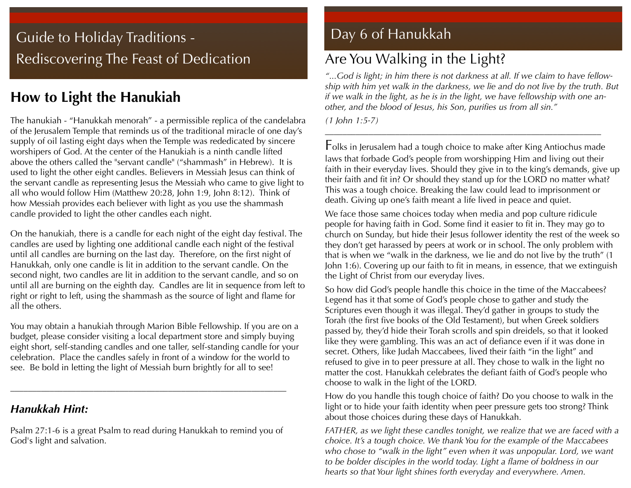## Guide to Holiday Traditions - Rediscovering The Feast of Dedication

### **How to Light the Hanukiah**

The hanukiah - "Hanukkah menorah" - a permissible replica of the candelabra of the Jerusalem Temple that reminds us of the traditional miracle of one day's supply of oil lasting eight days when the Temple was rededicated by sincere worshipers of God. At the center of the Hanukiah is a ninth candle lifted above the others called the "servant candle" ("shammash" in Hebrew). It is used to light the other eight candles. Believers in Messiah Jesus can think of the servant candle as representing Jesus the Messiah who came to give light to all who would follow Him (Matthew 20:28, John 1:9, John 8:12). Think of how Messiah provides each believer with light as you use the shammash candle provided to light the other candles each night.

On the hanukiah, there is a candle for each night of the eight day festival. The candles are used by lighting one additional candle each night of the festival until all candles are burning on the last day. Therefore, on the first night of Hanukkah, only one candle is lit in addition to the servant candle. On the second night, two candles are lit in addition to the servant candle, and so on until all are burning on the eighth day. Candles are lit in sequence from left to right or right to left, using the shammash as the source of light and flame for all the others.

You may obtain a hanukiah through Marion Bible Fellowship. If you are on a budget, please consider visiting a local department store and simply buying eight short, self-standing candles and one taller, self-standing candle for your celebration. Place the candles safely in front of a window for the world to see. Be bold in letting the light of Messiah burn brightly for all to see!

### *Hanukkah Hint:*

Psalm 27:1-6 is a great Psalm to read during Hanukkah to remind you of God's light and salvation.

\_\_\_\_\_\_\_\_\_\_\_\_\_\_\_\_\_\_\_\_\_\_\_\_\_\_\_\_\_\_\_\_\_\_\_\_\_\_\_\_\_\_\_\_\_\_\_\_\_\_\_\_\_\_\_\_\_\_\_\_\_\_\_

### Day 6 of Hanukkah

## Are You Walking in the Light?

*"...God is light; in him there is not darkness at all. If we claim to have fellowship with him yet walk in the darkness, we lie and do not live by the truth. But if we walk in the light, as he is in the light, we have fellowship with one another, and the blood of Jesus, his Son, purifies us from all sin."*

\_\_\_\_\_\_\_\_\_\_\_\_\_\_\_\_\_\_\_\_\_\_\_\_\_\_\_\_\_\_\_\_\_\_\_\_\_\_\_\_\_\_\_\_\_\_\_\_\_\_\_\_\_\_\_\_\_\_\_\_\_\_\_

*(1 John 1:5-7)*

Folks in Jerusalem had a tough choice to make after King Antiochus made laws that forbade God's people from worshipping Him and living out their faith in their everyday lives. Should they give in to the king's demands, give up their faith and fit in? Or should they stand up for the LORD no matter what? This was a tough choice. Breaking the law could lead to imprisonment or death. Giving up one's faith meant a life lived in peace and quiet.

We face those same choices today when media and pop culture ridicule people for having faith in God. Some find it easier to fit in. They may go to church on Sunday, but hide their Jesus follower identity the rest of the week so they don't get harassed by peers at work or in school. The only problem with that is when we "walk in the darkness, we lie and do not live by the truth" (1 John 1:6). Covering up our faith to fit in means, in essence, that we extinguish the Light of Christ from our everyday lives.

So how did God's people handle this choice in the time of the Maccabees? Legend has it that some of God's people chose to gather and study the Scriptures even though it was illegal. They'd gather in groups to study the Torah (the first five books of the Old Testament), but when Greek soldiers passed by, they'd hide their Torah scrolls and spin dreidels, so that it looked like they were gambling. This was an act of defiance even if it was done in secret. Others, like Judah Maccabees, lived their faith "in the light" and refused to give in to peer pressure at all. They chose to walk in the light no matter the cost. Hanukkah celebrates the defiant faith of God's people who choose to walk in the light of the LORD.

How do you handle this tough choice of faith? Do you choose to walk in the light or to hide your faith identity when peer pressure gets too strong? Think about those choices during these days of Hanukkah.

*FATHER, as we light these candles tonight, we realize that we are faced with a choice. It's a tough choice. We thank You for the example of the Maccabees who chose to "walk in the light" even when it was unpopular. Lord, we want to be bolder disciples in the world today. Light a flame of boldness in our hearts so that Your light shines forth everyday and everywhere. Amen.*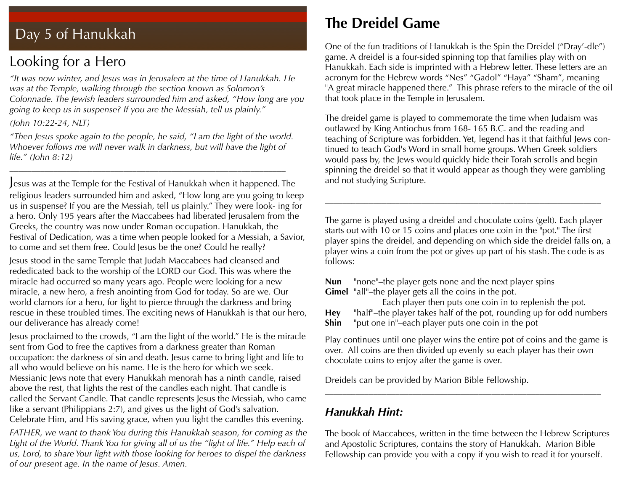### Day 5 of Hanukkah

### Looking for a Hero

*"It was now winter, and Jesus was in Jerusalem at the time of Hanukkah. He was at the Temple, walking through the section known as Solomon's Colonnade. The Jewish leaders surrounded him and asked, "How long are you going to keep us in suspense? If you are the Messiah, tell us plainly."*

*(John 10:22-24, NLT)*

*"Then Jesus spoke again to the people, he said, "I am the light of the world. Whoever follows me will never walk in darkness, but will have the light of life." (John 8:12)*

\_\_\_\_\_\_\_\_\_\_\_\_\_\_\_\_\_\_\_\_\_\_\_\_\_\_\_\_\_\_\_\_\_\_\_\_\_\_\_\_\_\_\_\_\_\_\_\_\_\_\_\_\_\_\_\_\_\_\_\_\_\_\_

Jesus was at the Temple for the Festival of Hanukkah when it happened. The religious leaders surrounded him and asked, "How long are you going to keep us in suspense? If you are the Messiah, tell us plainly." They were look- ing for a hero. Only 195 years after the Maccabees had liberated Jerusalem from the Greeks, the country was now under Roman occupation. Hanukkah, the Festival of Dedication, was a time when people looked for a Messiah, a Savior, to come and set them free. Could Jesus be the one? Could he really?

Jesus stood in the same Temple that Judah Maccabees had cleansed and rededicated back to the worship of the LORD our God. This was where the miracle had occurred so many years ago. People were looking for a new miracle, a new hero, a fresh anointing from God for today. So are we. Our world clamors for a hero, for light to pierce through the darkness and bring rescue in these troubled times. The exciting news of Hanukkah is that our hero, our deliverance has already come!

Jesus proclaimed to the crowds, "I am the light of the world." He is the miracle sent from God to free the captives from a darkness greater than Roman occupation: the darkness of sin and death. Jesus came to bring light and life to all who would believe on his name. He is the hero for which we seek. Messianic Jews note that every Hanukkah menorah has a ninth candle, raised above the rest, that lights the rest of the candles each night. That candle is called the Servant Candle. That candle represents Jesus the Messiah, who came like a servant (Philippians 2:7), and gives us the light of God's salvation. Celebrate Him, and His saving grace, when you light the candles this evening.

*FATHER, we want to thank You during this Hanukkah season, for coming as the*  Light of the World. Thank You for giving all of us the "light of life." Help each of *us, Lord, to share Your light with those looking for heroes to dispel the darkness of our present age. In the name of Jesus. Amen.*

### **The Dreidel Game**

One of the fun traditions of Hanukkah is the Spin the Dreidel ("Dray'-dle") game. A dreidel is a four-sided spinning top that families play with on Hanukkah. Each side is imprinted with a Hebrew letter. These letters are an acronym for the Hebrew words "Nes" "Gadol" "Haya" "Sham", meaning "A great miracle happened there." This phrase refers to the miracle of the oil that took place in the Temple in Jerusalem.

The dreidel game is played to commemorate the time when Judaism was outlawed by King Antiochus from 168- 165 B.C. and the reading and teaching of Scripture was forbidden. Yet, legend has it that faithful Jews continued to teach God's Word in small home groups. When Greek soldiers would pass by, the Jews would quickly hide their Torah scrolls and begin spinning the dreidel so that it would appear as though they were gambling and not studying Scripture.

The game is played using a dreidel and chocolate coins (gelt). Each player starts out with 10 or 15 coins and places one coin in the "pot." The first player spins the dreidel, and depending on which side the dreidel falls on, a player wins a coin from the pot or gives up part of his stash. The code is as follows:

\_\_\_\_\_\_\_\_\_\_\_\_\_\_\_\_\_\_\_\_\_\_\_\_\_\_\_\_\_\_\_\_\_\_\_\_\_\_\_\_\_\_\_\_\_\_\_\_\_\_\_\_\_\_\_\_\_\_\_\_\_\_\_

**Nun** "none"–the player gets none and the next player spins **Gimel** "all"–the player gets all the coins in the pot.

 Each player then puts one coin in to replenish the pot. **Hey** "half"–the player takes half of the pot, rounding up for odd numbers **Shin** "put one in"–each player puts one coin in the pot

Play continues until one player wins the entire pot of coins and the game is over. All coins are then divided up evenly so each player has their own chocolate coins to enjoy after the game is over.

\_\_\_\_\_\_\_\_\_\_\_\_\_\_\_\_\_\_\_\_\_\_\_\_\_\_\_\_\_\_\_\_\_\_\_\_\_\_\_\_\_\_\_\_\_\_\_\_\_\_\_\_\_\_\_\_\_\_\_\_\_\_\_

Dreidels can be provided by Marion Bible Fellowship.

#### *Hanukkah Hint:*

The book of Maccabees, written in the time between the Hebrew Scriptures and Apostolic Scriptures, contains the story of Hanukkah. Marion Bible Fellowship can provide you with a copy if you wish to read it for yourself.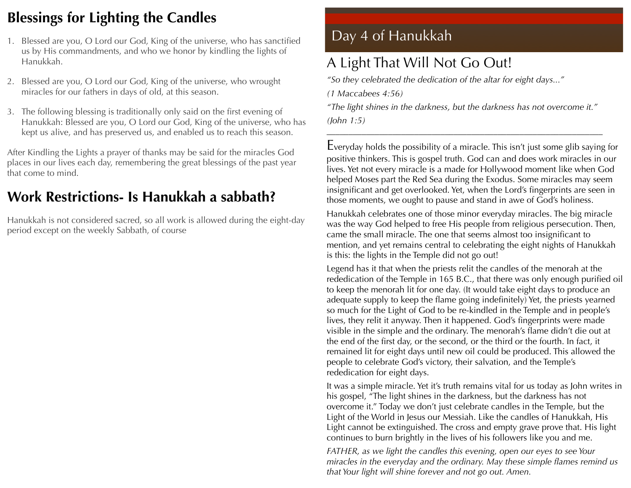### **Blessings for Lighting the Candles**

- 1. Blessed are you, O Lord our God, King of the universe, who has sanctified us by His commandments, and who we honor by kindling the lights of Hanukkah.
- 2. Blessed are you, O Lord our God, King of the universe, who wrought miracles for our fathers in days of old, at this season.
- 3. The following blessing is traditionally only said on the first evening of Hanukkah: Blessed are you, O Lord our God, King of the universe, who has kept us alive, and has preserved us, and enabled us to reach this season.

After Kindling the Lights a prayer of thanks may be said for the miracles God places in our lives each day, remembering the great blessings of the past year that come to mind.

### **Work Restrictions- Is Hanukkah a sabbath?**

Hanukkah is not considered sacred, so all work is allowed during the eight-day period except on the weekly Sabbath, of course

### Day 4 of Hanukkah

### A Light That Will Not Go Out!

*"So they celebrated the dedication of the altar for eight days..."*

*(1 Maccabees 4:56)*

*"The light shines in the darkness, but the darkness has not overcome it." (John 1:5)*

\_\_\_\_\_\_\_\_\_\_\_\_\_\_\_\_\_\_\_\_\_\_\_\_\_\_\_\_\_\_\_\_\_\_\_\_\_\_\_\_\_\_\_\_\_\_\_\_\_\_\_\_\_\_\_\_\_\_\_\_\_\_\_

Everyday holds the possibility of a miracle. This isn't just some glib saying for positive thinkers. This is gospel truth. God can and does work miracles in our lives. Yet not every miracle is a made for Hollywood moment like when God helped Moses part the Red Sea during the Exodus. Some miracles may seem insignificant and get overlooked. Yet, when the Lord's fingerprints are seen in those moments, we ought to pause and stand in awe of God's holiness.

Hanukkah celebrates one of those minor everyday miracles. The big miracle was the way God helped to free His people from religious persecution. Then, came the small miracle. The one that seems almost too insignificant to mention, and yet remains central to celebrating the eight nights of Hanukkah is this: the lights in the Temple did not go out!

Legend has it that when the priests relit the candles of the menorah at the rededication of the Temple in 165 B.C., that there was only enough purified oil to keep the menorah lit for one day. (It would take eight days to produce an adequate supply to keep the flame going indefinitely) Yet, the priests yearned so much for the Light of God to be re-kindled in the Temple and in people's lives, they relit it anyway. Then it happened. God's fingerprints were made visible in the simple and the ordinary. The menorah's flame didn't die out at the end of the first day, or the second, or the third or the fourth. In fact, it remained lit for eight days until new oil could be produced. This allowed the people to celebrate God's victory, their salvation, and the Temple's rededication for eight days.

It was a simple miracle. Yet it's truth remains vital for us today as John writes in his gospel, "The light shines in the darkness, but the darkness has not overcome it." Today we don't just celebrate candles in the Temple, but the Light of the World in Jesus our Messiah. Like the candles of Hanukkah, His Light cannot be extinguished. The cross and empty grave prove that. His light continues to burn brightly in the lives of his followers like you and me.

*FATHER, as we light the candles this evening, open our eyes to see Your miracles in the everyday and the ordinary. May these simple flames remind us that Your light will shine forever and not go out. Amen.*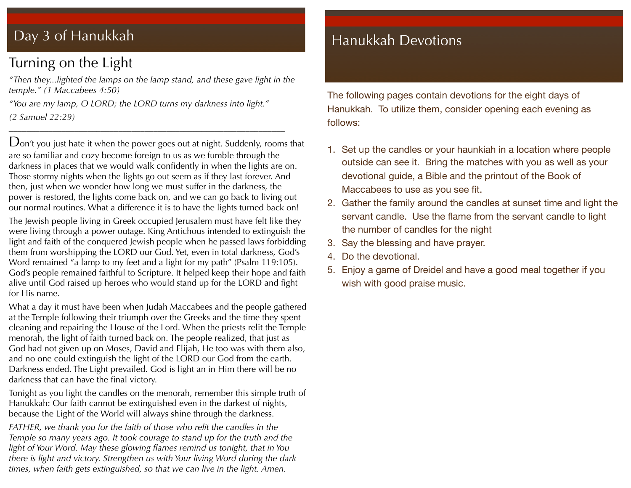### Day 3 of Hanukkah

### Turning on the Light

*"Then they...lighted the lamps on the lamp stand, and these gave light in the temple." (1 Maccabees 4:50)*

*"You are my lamp, O LORD; the LORD turns my darkness into light." (2 Samuel 22:29)*

\_\_\_\_\_\_\_\_\_\_\_\_\_\_\_\_\_\_\_\_\_\_\_\_\_\_\_\_\_\_\_\_\_\_\_\_\_\_\_\_\_\_\_\_\_\_\_\_\_\_\_\_\_\_\_\_\_\_\_\_\_\_\_

Don't you just hate it when the power goes out at night. Suddenly, rooms that are so familiar and cozy become foreign to us as we fumble through the darkness in places that we would walk confidently in when the lights are on. Those stormy nights when the lights go out seem as if they last forever. And then, just when we wonder how long we must suffer in the darkness, the power is restored, the lights come back on, and we can go back to living out our normal routines. What a difference it is to have the lights turned back on!

The Jewish people living in Greek occupied Jerusalem must have felt like they were living through a power outage. King Antichous intended to extinguish the light and faith of the conquered Jewish people when he passed laws forbidding them from worshipping the LORD our God. Yet, even in total darkness, God's Word remained "a lamp to my feet and a light for my path" (Psalm 119:105). God's people remained faithful to Scripture. It helped keep their hope and faith alive until God raised up heroes who would stand up for the LORD and fight for His name.

What a day it must have been when Judah Maccabees and the people gathered at the Temple following their triumph over the Greeks and the time they spent cleaning and repairing the House of the Lord. When the priests relit the Temple menorah, the light of faith turned back on. The people realized, that just as God had not given up on Moses, David and Elijah, He too was with them also, and no one could extinguish the light of the LORD our God from the earth. Darkness ended. The Light prevailed. God is light an in Him there will be no darkness that can have the final victory.

Tonight as you light the candles on the menorah, remember this simple truth of Hanukkah: Our faith cannot be extinguished even in the darkest of nights, because the Light of the World will always shine through the darkness.

*FATHER, we thank you for the faith of those who relit the candles in the Temple so many years ago. It took courage to stand up for the truth and the light of Your Word. May these glowing flames remind us tonight, that in You there is light and victory. Strengthen us with Your living Word during the dark times, when faith gets extinguished, so that we can live in the light. Amen.*

### Hanukkah Devotions

The following pages contain devotions for the eight days of Hanukkah. To utilize them, consider opening each evening as follows:

- 1. Set up the candles or your haunkiah in a location where people outside can see it. Bring the matches with you as well as your devotional guide, a Bible and the printout of the Book of Maccabees to use as you see fit.
- 2. Gather the family around the candles at sunset time and light the servant candle. Use the flame from the servant candle to light the number of candles for the night
- 3. Say the blessing and have prayer.
- 4. Do the devotional.
- 5. Enjoy a game of Dreidel and have a good meal together if you wish with good praise music.